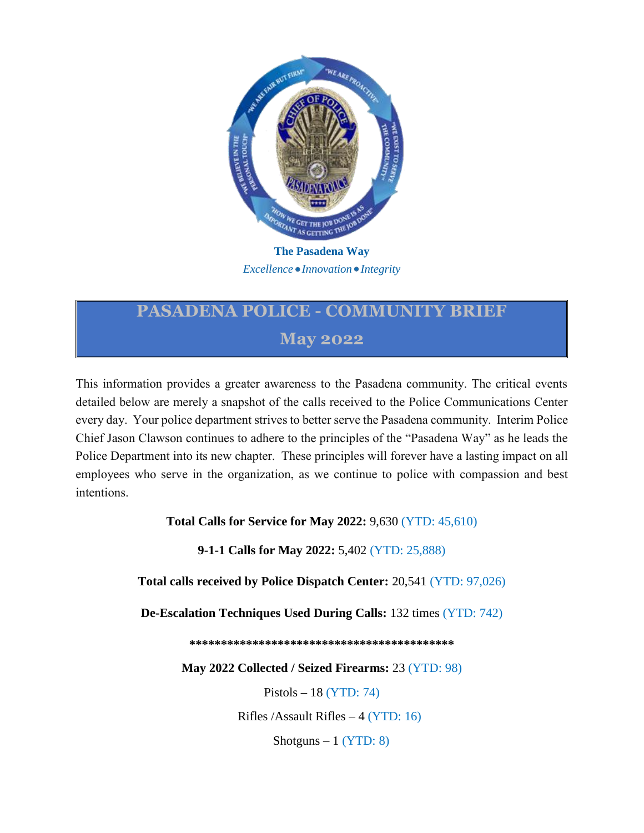

*Excellence Innovation Integrity*

## **PASADENA POLICE - COMMUNITY BRIEF May 2022**

This information provides a greater awareness to the Pasadena community. The critical events detailed below are merely a snapshot of the calls received to the Police Communications Center every day. Your police department strives to better serve the Pasadena community. Interim Police Chief Jason Clawson continues to adhere to the principles of the "Pasadena Way" as he leads the Police Department into its new chapter. These principles will forever have a lasting impact on all employees who serve in the organization, as we continue to police with compassion and best intentions.

**Total Calls for Service for May 2022:** 9,630 (YTD: 45,610)

**9-1-1 Calls for May 2022:** 5,402 (YTD: 25,888)

**Total calls received by Police Dispatch Center:** 20,541 (YTD: 97,026)

**De-Escalation Techniques Used During Calls:** 132 times (YTD: 742)

**\*\*\*\*\*\*\*\*\*\*\*\*\*\*\*\*\*\*\*\*\*\*\*\*\*\*\*\*\*\*\*\*\*\*\*\*\*\*\*\*\*\***

**May 2022 Collected / Seized Firearms:** 23 (YTD: 98)

Pistols **–** 18 (YTD: 74)

Rifles /Assault Rifles – 4 (YTD: 16)

Shotguns  $-1$  (YTD: 8)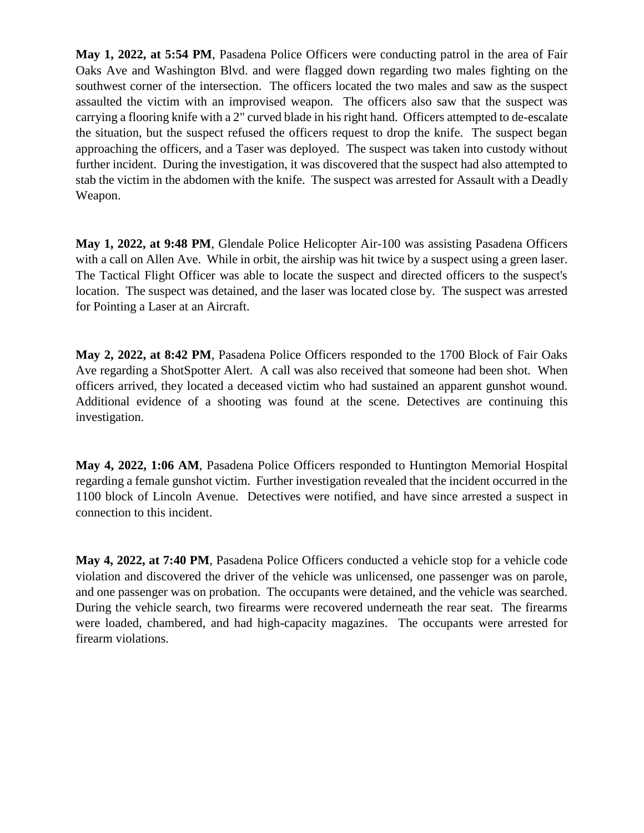**May 1, 2022, at 5:54 PM**, Pasadena Police Officers were conducting patrol in the area of Fair Oaks Ave and Washington Blvd. and were flagged down regarding two males fighting on the southwest corner of the intersection. The officers located the two males and saw as the suspect assaulted the victim with an improvised weapon. The officers also saw that the suspect was carrying a flooring knife with a 2" curved blade in his right hand. Officers attempted to de-escalate the situation, but the suspect refused the officers request to drop the knife. The suspect began approaching the officers, and a Taser was deployed. The suspect was taken into custody without further incident. During the investigation, it was discovered that the suspect had also attempted to stab the victim in the abdomen with the knife. The suspect was arrested for Assault with a Deadly Weapon.

**May 1, 2022, at 9:48 PM**, Glendale Police Helicopter Air-100 was assisting Pasadena Officers with a call on Allen Ave. While in orbit, the airship was hit twice by a suspect using a green laser. The Tactical Flight Officer was able to locate the suspect and directed officers to the suspect's location. The suspect was detained, and the laser was located close by. The suspect was arrested for Pointing a Laser at an Aircraft.

**May 2, 2022, at 8:42 PM**, Pasadena Police Officers responded to the 1700 Block of Fair Oaks Ave regarding a ShotSpotter Alert. A call was also received that someone had been shot. When officers arrived, they located a deceased victim who had sustained an apparent gunshot wound. Additional evidence of a shooting was found at the scene. Detectives are continuing this investigation.

**May 4, 2022, 1:06 AM**, Pasadena Police Officers responded to Huntington Memorial Hospital regarding a female gunshot victim. Further investigation revealed that the incident occurred in the 1100 block of Lincoln Avenue. Detectives were notified, and have since arrested a suspect in connection to this incident.

**May 4, 2022, at 7:40 PM**, Pasadena Police Officers conducted a vehicle stop for a vehicle code violation and discovered the driver of the vehicle was unlicensed, one passenger was on parole, and one passenger was on probation. The occupants were detained, and the vehicle was searched. During the vehicle search, two firearms were recovered underneath the rear seat. The firearms were loaded, chambered, and had high-capacity magazines. The occupants were arrested for firearm violations.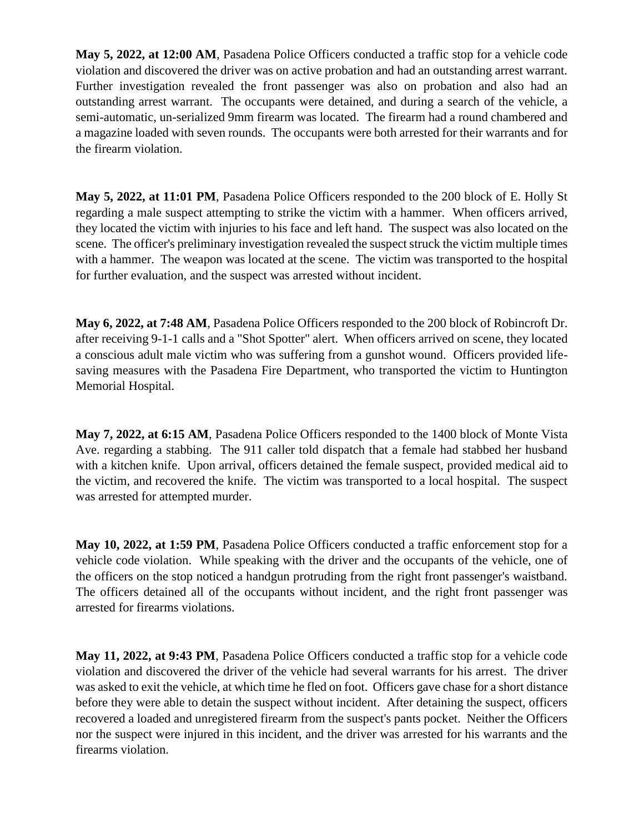**May 5, 2022, at 12:00 AM**, Pasadena Police Officers conducted a traffic stop for a vehicle code violation and discovered the driver was on active probation and had an outstanding arrest warrant. Further investigation revealed the front passenger was also on probation and also had an outstanding arrest warrant. The occupants were detained, and during a search of the vehicle, a semi-automatic, un-serialized 9mm firearm was located. The firearm had a round chambered and a magazine loaded with seven rounds. The occupants were both arrested for their warrants and for the firearm violation.

**May 5, 2022, at 11:01 PM**, Pasadena Police Officers responded to the 200 block of E. Holly St regarding a male suspect attempting to strike the victim with a hammer. When officers arrived, they located the victim with injuries to his face and left hand. The suspect was also located on the scene. The officer's preliminary investigation revealed the suspect struck the victim multiple times with a hammer. The weapon was located at the scene. The victim was transported to the hospital for further evaluation, and the suspect was arrested without incident.

**May 6, 2022, at 7:48 AM**, Pasadena Police Officers responded to the 200 block of Robincroft Dr. after receiving 9-1-1 calls and a "Shot Spotter" alert. When officers arrived on scene, they located a conscious adult male victim who was suffering from a gunshot wound. Officers provided lifesaving measures with the Pasadena Fire Department, who transported the victim to Huntington Memorial Hospital.

**May 7, 2022, at 6:15 AM**, Pasadena Police Officers responded to the 1400 block of Monte Vista Ave. regarding a stabbing. The 911 caller told dispatch that a female had stabbed her husband with a kitchen knife. Upon arrival, officers detained the female suspect, provided medical aid to the victim, and recovered the knife. The victim was transported to a local hospital. The suspect was arrested for attempted murder.

**May 10, 2022, at 1:59 PM**, Pasadena Police Officers conducted a traffic enforcement stop for a vehicle code violation. While speaking with the driver and the occupants of the vehicle, one of the officers on the stop noticed a handgun protruding from the right front passenger's waistband. The officers detained all of the occupants without incident, and the right front passenger was arrested for firearms violations.

**May 11, 2022, at 9:43 PM**, Pasadena Police Officers conducted a traffic stop for a vehicle code violation and discovered the driver of the vehicle had several warrants for his arrest. The driver was asked to exit the vehicle, at which time he fled on foot. Officers gave chase for a short distance before they were able to detain the suspect without incident. After detaining the suspect, officers recovered a loaded and unregistered firearm from the suspect's pants pocket. Neither the Officers nor the suspect were injured in this incident, and the driver was arrested for his warrants and the firearms violation.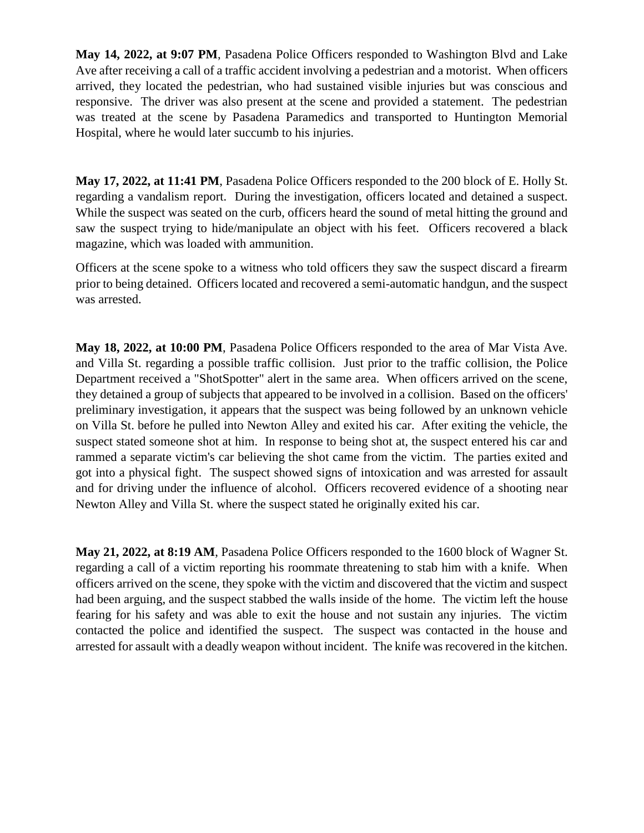**May 14, 2022, at 9:07 PM**, Pasadena Police Officers responded to Washington Blvd and Lake Ave after receiving a call of a traffic accident involving a pedestrian and a motorist. When officers arrived, they located the pedestrian, who had sustained visible injuries but was conscious and responsive. The driver was also present at the scene and provided a statement. The pedestrian was treated at the scene by Pasadena Paramedics and transported to Huntington Memorial Hospital, where he would later succumb to his injuries.

**May 17, 2022, at 11:41 PM**, Pasadena Police Officers responded to the 200 block of E. Holly St. regarding a vandalism report. During the investigation, officers located and detained a suspect. While the suspect was seated on the curb, officers heard the sound of metal hitting the ground and saw the suspect trying to hide/manipulate an object with his feet. Officers recovered a black magazine, which was loaded with ammunition.

Officers at the scene spoke to a witness who told officers they saw the suspect discard a firearm prior to being detained. Officers located and recovered a semi-automatic handgun, and the suspect was arrested.

**May 18, 2022, at 10:00 PM**, Pasadena Police Officers responded to the area of Mar Vista Ave. and Villa St. regarding a possible traffic collision. Just prior to the traffic collision, the Police Department received a "ShotSpotter" alert in the same area. When officers arrived on the scene, they detained a group of subjects that appeared to be involved in a collision. Based on the officers' preliminary investigation, it appears that the suspect was being followed by an unknown vehicle on Villa St. before he pulled into Newton Alley and exited his car. After exiting the vehicle, the suspect stated someone shot at him. In response to being shot at, the suspect entered his car and rammed a separate victim's car believing the shot came from the victim. The parties exited and got into a physical fight. The suspect showed signs of intoxication and was arrested for assault and for driving under the influence of alcohol. Officers recovered evidence of a shooting near Newton Alley and Villa St. where the suspect stated he originally exited his car.

**May 21, 2022, at 8:19 AM**, Pasadena Police Officers responded to the 1600 block of Wagner St. regarding a call of a victim reporting his roommate threatening to stab him with a knife. When officers arrived on the scene, they spoke with the victim and discovered that the victim and suspect had been arguing, and the suspect stabbed the walls inside of the home. The victim left the house fearing for his safety and was able to exit the house and not sustain any injuries. The victim contacted the police and identified the suspect. The suspect was contacted in the house and arrested for assault with a deadly weapon without incident. The knife was recovered in the kitchen.